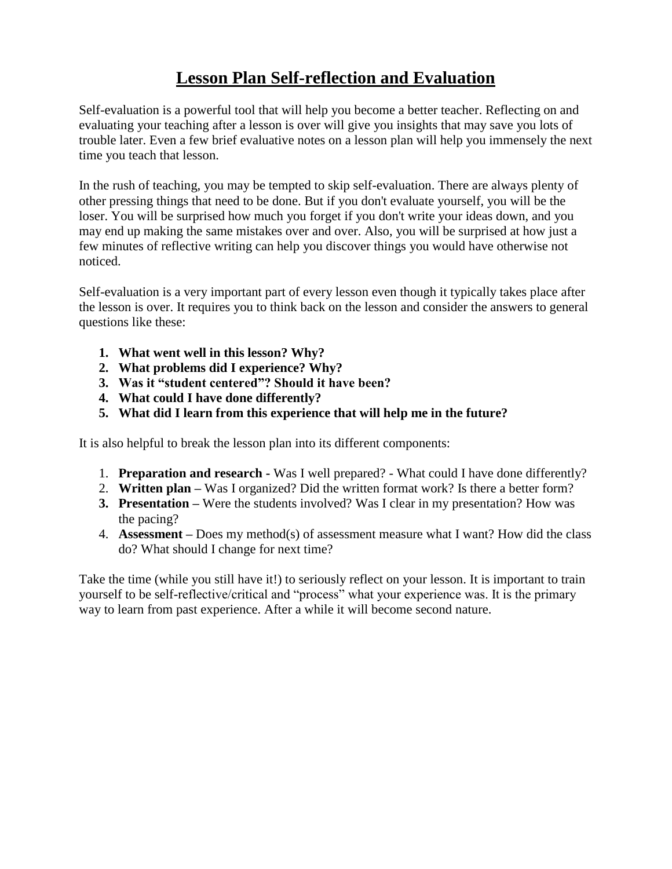## **Lesson Plan Self-reflection and Evaluation**

Self-evaluation is a powerful tool that will help you become a better teacher. Reflecting on and evaluating your teaching after a lesson is over will give you insights that may save you lots of trouble later. Even a few brief evaluative notes on a lesson plan will help you immensely the next time you teach that lesson.

In the rush of teaching, you may be tempted to skip self-evaluation. There are always plenty of other pressing things that need to be done. But if you don't evaluate yourself, you will be the loser. You will be surprised how much you forget if you don't write your ideas down, and you may end up making the same mistakes over and over. Also, you will be surprised at how just a few minutes of reflective writing can help you discover things you would have otherwise not noticed.

Self-evaluation is a very important part of every lesson even though it typically takes place after the lesson is over. It requires you to think back on the lesson and consider the answers to general questions like these:

- **1. What went well in this lesson? Why?**
- **2. What problems did I experience? Why?**
- **3. Was it "student centered"? Should it have been?**
- **4. What could I have done differently?**
- **5. What did I learn from this experience that will help me in the future?**

It is also helpful to break the lesson plan into its different components:

- 1. **Preparation and research -** Was I well prepared? What could I have done differently?
- 2. **Written plan –** Was I organized? Did the written format work? Is there a better form?
- **3. Presentation –** Were the students involved? Was I clear in my presentation? How was the pacing?
- 4. **Assessment –** Does my method(s) of assessment measure what I want? How did the class do? What should I change for next time?

Take the time (while you still have it!) to seriously reflect on your lesson. It is important to train yourself to be self-reflective/critical and "process" what your experience was. It is the primary way to learn from past experience. After a while it will become second nature.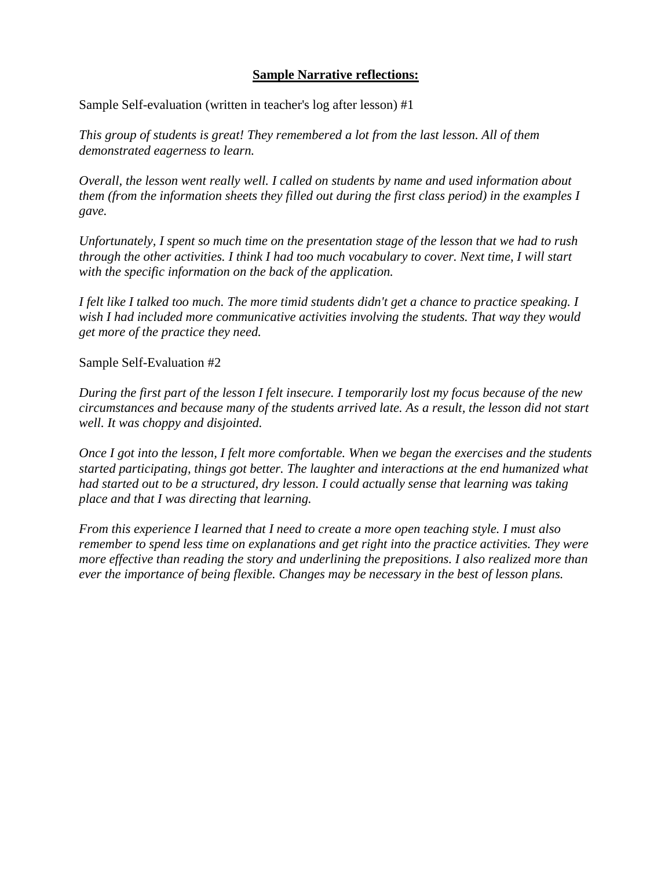## **Sample Narrative reflections:**

Sample Self-evaluation (written in teacher's log after lesson) #1

*This group of students is great! They remembered a lot from the last lesson. All of them demonstrated eagerness to learn.*

*Overall, the lesson went really well. I called on students by name and used information about them (from the information sheets they filled out during the first class period) in the examples I gave.*

*Unfortunately, I spent so much time on the presentation stage of the lesson that we had to rush through the other activities. I think I had too much vocabulary to cover. Next time, I will start with the specific information on the back of the application.*

*I felt like I talked too much. The more timid students didn't get a chance to practice speaking. I wish I had included more communicative activities involving the students. That way they would get more of the practice they need.*

Sample Self-Evaluation #2

*During the first part of the lesson I felt insecure. I temporarily lost my focus because of the new circumstances and because many of the students arrived late. As a result, the lesson did not start well. It was choppy and disjointed.*

*Once I got into the lesson, I felt more comfortable. When we began the exercises and the students started participating, things got better. The laughter and interactions at the end humanized what had started out to be a structured, dry lesson. I could actually sense that learning was taking place and that I was directing that learning.*

*From this experience I learned that I need to create a more open teaching style. I must also remember to spend less time on explanations and get right into the practice activities. They were more effective than reading the story and underlining the prepositions. I also realized more than ever the importance of being flexible. Changes may be necessary in the best of lesson plans.*